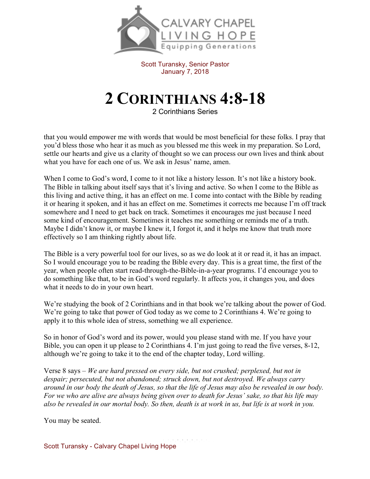

Scott Turansky, Senior Pastor January 7, 2018

## **2 CORINTHIANS 4:8-18**

2 Corinthians Series

that you would empower me with words that would be most beneficial for these folks. I pray that you'd bless those who hear it as much as you blessed me this week in my preparation. So Lord, settle our hearts and give us a clarity of thought so we can process our own lives and think about what you have for each one of us. We ask in Jesus' name, amen.

When I come to God's word, I come to it not like a history lesson. It's not like a history book. The Bible in talking about itself says that it's living and active. So when I come to the Bible as this living and active thing, it has an effect on me. I come into contact with the Bible by reading it or hearing it spoken, and it has an effect on me. Sometimes it corrects me because I'm off track somewhere and I need to get back on track. Sometimes it encourages me just because I need some kind of encouragement. Sometimes it teaches me something or reminds me of a truth. Maybe I didn't know it, or maybe I knew it, I forgot it, and it helps me know that truth more effectively so I am thinking rightly about life.

The Bible is a very powerful tool for our lives, so as we do look at it or read it, it has an impact. So I would encourage you to be reading the Bible every day. This is a great time, the first of the year, when people often start read-through-the-Bible-in-a-year programs. I'd encourage you to do something like that, to be in God's word regularly. It affects you, it changes you, and does what it needs to do in your own heart.

We're studying the book of 2 Corinthians and in that book we're talking about the power of God. We're going to take that power of God today as we come to 2 Corinthians 4. We're going to apply it to this whole idea of stress, something we all experience.

So in honor of God's word and its power, would you please stand with me. If you have your Bible, you can open it up please to 2 Corinthians 4. I'm just going to read the five verses, 8-12, although we're going to take it to the end of the chapter today, Lord willing.

Verse 8 says – *We are hard pressed on every side, but not crushed; perplexed, but not in despair; persecuted, but not abandoned; struck down, but not destroyed. We always carry around in our body the death of Jesus, so that the life of Jesus may also be revealed in our body. For we who are alive are always being given over to death for Jesus' sake, so that his life may also be revealed in our mortal body. So then, death is at work in us, but life is at work in you.*

You may be seated.

Scott Turansky - Calvary Chapel Living Hope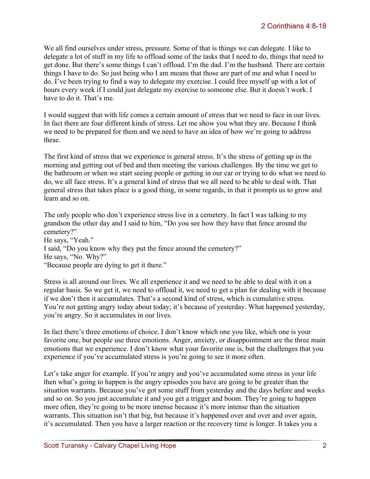We all find ourselves under stress, pressure. Some of that is things we can delegate. I like to delegate a lot of stuff in my life to offload some of the tasks that I need to do, things that need to get done. But there's some things I can't offload. I'm the dad. I'm the husband. There are certain things I have to do. So just being who I am means that those are part of me and what I need to do. I've been trying to find a way to delegate my exercise. I could free myself up with a lot of hours every week if I could just delegate my exercise to someone else. But it doesn't work. I have to do it. That's me.

I would suggest that with life comes a certain amount of stress that we need to face in our lives. In fact there are four different kinds of stress. Let me show you what they are. Because I think we need to be prepared for them and we need to have an idea of how we're going to address these.

The first kind of stress that we experience is general stress. It's the stress of getting up in the morning and getting out of bed and then meeting the various challenges. By the time we get to the bathroom or when we start seeing people or getting in our car or trying to do what we need to do, we all face stress. It's a general kind of stress that we all need to be able to deal with. That general stress that takes place is a good thing, in some regards, in that it prompts us to grow and learn and so on.

The only people who don't experience stress live in a cemetery. In fact I was talking to my grandson the other day and I said to him, "Do you see how they have that fence around the cemetery?" He says, "Yeah." I said, "Do you know why they put the fence around the cemetery?" He says, "No. Why?" "Because people are dying to get it there."

Stress is all around our lives. We all experience it and we need to be able to deal with it on a regular basis. So we get it, we need to offload it, we need to get a plan for dealing with it because if we don't then it accumulates. That's a second kind of stress, which is cumulative stress. You're not getting angry today about today; it's because of yesterday. What happened yesterday, you're angry. So it accumulates in our lives.

In fact there's three emotions of choice. I don't know which one you like, which one is your favorite one, but people use three emotions. Anger, anxiety, or disappointment are the three main emotions that we experience. I don't know what your favorite one is, but the challenges that you experience if you've accumulated stress is you're going to see it more often.

Let's take anger for example. If you're angry and you've accumulated some stress in your life then what's going to happen is the angry episodes you have are going to be greater than the situation warrants. Because you've got some stuff from yesterday and the days before and weeks and so on. So you just accumulate it and you get a trigger and boom. They're going to happen more often, they're going to be more intense because it's more intense than the situation warrants. This situation isn't that big, but because it's happened over and over and over again, it's accumulated. Then you have a larger reaction or the recovery time is longer. It takes you a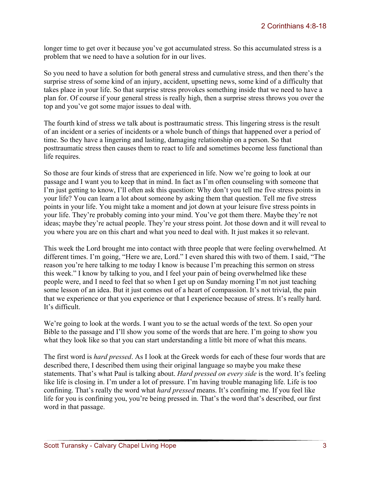longer time to get over it because you've got accumulated stress. So this accumulated stress is a problem that we need to have a solution for in our lives.

So you need to have a solution for both general stress and cumulative stress, and then there's the surprise stress of some kind of an injury, accident, upsetting news, some kind of a difficulty that takes place in your life. So that surprise stress provokes something inside that we need to have a plan for. Of course if your general stress is really high, then a surprise stress throws you over the top and you've got some major issues to deal with.

The fourth kind of stress we talk about is posttraumatic stress. This lingering stress is the result of an incident or a series of incidents or a whole bunch of things that happened over a period of time. So they have a lingering and lasting, damaging relationship on a person. So that posttraumatic stress then causes them to react to life and sometimes become less functional than life requires.

So those are four kinds of stress that are experienced in life. Now we're going to look at our passage and I want you to keep that in mind. In fact as I'm often counseling with someone that I'm just getting to know, I'll often ask this question: Why don't you tell me five stress points in your life? You can learn a lot about someone by asking them that question. Tell me five stress points in your life. You might take a moment and jot down at your leisure five stress points in your life. They're probably coming into your mind. You've got them there. Maybe they're not ideas; maybe they're actual people. They're your stress point. Jot those down and it will reveal to you where you are on this chart and what you need to deal with. It just makes it so relevant.

This week the Lord brought me into contact with three people that were feeling overwhelmed. At different times. I'm going, "Here we are, Lord." I even shared this with two of them. I said, "The reason you're here talking to me today I know is because I'm preaching this sermon on stress this week." I know by talking to you, and I feel your pain of being overwhelmed like these people were, and I need to feel that so when I get up on Sunday morning I'm not just teaching some lesson of an idea. But it just comes out of a heart of compassion. It's not trivial, the pain that we experience or that you experience or that I experience because of stress. It's really hard. It's difficult.

We're going to look at the words. I want you to se the actual words of the text. So open your Bible to the passage and I'll show you some of the words that are here. I'm going to show you what they look like so that you can start understanding a little bit more of what this means.

The first word is *hard pressed*. As I look at the Greek words for each of these four words that are described there, I described them using their original language so maybe you make these statements. That's what Paul is talking about. *Hard pressed on every side* is the word. It's feeling like life is closing in. I'm under a lot of pressure. I'm having trouble managing life. Life is too confining. That's really the word what *hard pressed* means. It's confining me. If you feel like life for you is confining you, you're being pressed in. That's the word that's described, our first word in that passage.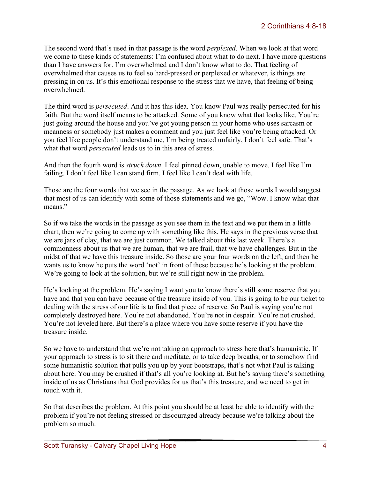The second word that's used in that passage is the word *perplexed*. When we look at that word we come to these kinds of statements: I'm confused about what to do next. I have more questions than I have answers for. I'm overwhelmed and I don't know what to do. That feeling of overwhelmed that causes us to feel so hard-pressed or perplexed or whatever, is things are pressing in on us. It's this emotional response to the stress that we have, that feeling of being overwhelmed.

The third word is *persecuted*. And it has this idea. You know Paul was really persecuted for his faith. But the word itself means to be attacked. Some of you know what that looks like. You're just going around the house and you've got young person in your home who uses sarcasm or meanness or somebody just makes a comment and you just feel like you're being attacked. Or you feel like people don't understand me, I'm being treated unfairly, I don't feel safe. That's what that word *persecuted* leads us to in this area of stress.

And then the fourth word is *struck down*. I feel pinned down, unable to move. I feel like I'm failing. I don't feel like I can stand firm. I feel like I can't deal with life.

Those are the four words that we see in the passage. As we look at those words I would suggest that most of us can identify with some of those statements and we go, "Wow. I know what that means"

So if we take the words in the passage as you see them in the text and we put them in a little chart, then we're going to come up with something like this. He says in the previous verse that we are jars of clay, that we are just common. We talked about this last week. There's a commonness about us that we are human, that we are frail, that we have challenges. But in the midst of that we have this treasure inside. So those are your four words on the left, and then he wants us to know he puts the word 'not' in front of these because he's looking at the problem. We're going to look at the solution, but we're still right now in the problem.

He's looking at the problem. He's saying I want you to know there's still some reserve that you have and that you can have because of the treasure inside of you. This is going to be our ticket to dealing with the stress of our life is to find that piece of reserve. So Paul is saying you're not completely destroyed here. You're not abandoned. You're not in despair. You're not crushed. You're not leveled here. But there's a place where you have some reserve if you have the treasure inside.

So we have to understand that we're not taking an approach to stress here that's humanistic. If your approach to stress is to sit there and meditate, or to take deep breaths, or to somehow find some humanistic solution that pulls you up by your bootstraps, that's not what Paul is talking about here. You may be crushed if that's all you're looking at. But he's saying there's something inside of us as Christians that God provides for us that's this treasure, and we need to get in touch with it.

So that describes the problem. At this point you should be at least be able to identify with the problem if you're not feeling stressed or discouraged already because we're talking about the problem so much.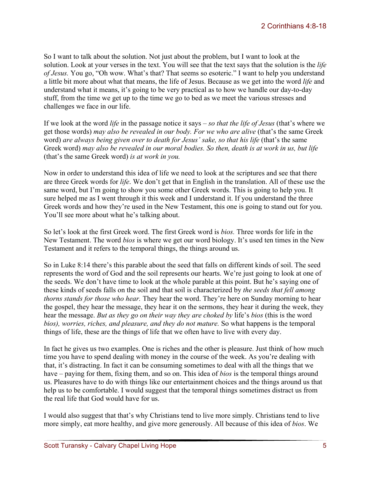So I want to talk about the solution. Not just about the problem, but I want to look at the solution. Look at your verses in the text. You will see that the text says that the solution is the *life of Jesus.* You go, "Oh wow. What's that? That seems so esoteric." I want to help you understand a little bit more about what that means, the life of Jesus. Because as we get into the word *life* and understand what it means, it's going to be very practical as to how we handle our day-to-day stuff, from the time we get up to the time we go to bed as we meet the various stresses and challenges we face in our life.

If we look at the word *life* in the passage notice it says – *so that the life of Jesus* (that's where we get those words) *may also be revealed in our body. For we who are alive* (that's the same Greek word) *are always being given over to death for Jesus' sake, so that his life* (that's the same Greek word) *may also be revealed in our moral bodies. So then, death is at work in us, but life*  (that's the same Greek word) *is at work in you.*

Now in order to understand this idea of life we need to look at the scriptures and see that there are three Greek words for *life*. We don't get that in English in the translation. All of these use the same word, but I'm going to show you some other Greek words. This is going to help you. It sure helped me as I went through it this week and I understand it. If you understand the three Greek words and how they're used in the New Testament, this one is going to stand out for you. You'll see more about what he's talking about.

So let's look at the first Greek word. The first Greek word is *bios.* Three words for life in the New Testament. The word *bios* is where we get our word biology. It's used ten times in the New Testament and it refers to the temporal things, the things around us.

So in Luke 8:14 there's this parable about the seed that falls on different kinds of soil. The seed represents the word of God and the soil represents our hearts. We're just going to look at one of the seeds. We don't have time to look at the whole parable at this point. But he's saying one of these kinds of seeds falls on the soil and that soil is characterized by *the seeds that fell among thorns stands for those who hear.* They hear the word. They're here on Sunday morning to hear the gospel, they hear the message, they hear it on the sermons, they hear it during the week, they hear the message. *But as they go on their way they are choked by* life's *bios* (this is the word *bios), worries, riches, and pleasure, and they do not mature.* So what happens is the temporal things of life, these are the things of life that we often have to live with every day.

In fact he gives us two examples. One is riches and the other is pleasure. Just think of how much time you have to spend dealing with money in the course of the week. As you're dealing with that, it's distracting. In fact it can be consuming sometimes to deal with all the things that we have – paying for them, fixing them, and so on. This idea of *bios* is the temporal things around us. Pleasures have to do with things like our entertainment choices and the things around us that help us to be comfortable. I would suggest that the temporal things sometimes distract us from the real life that God would have for us.

I would also suggest that that's why Christians tend to live more simply. Christians tend to live more simply, eat more healthy, and give more generously. All because of this idea of *bios*. We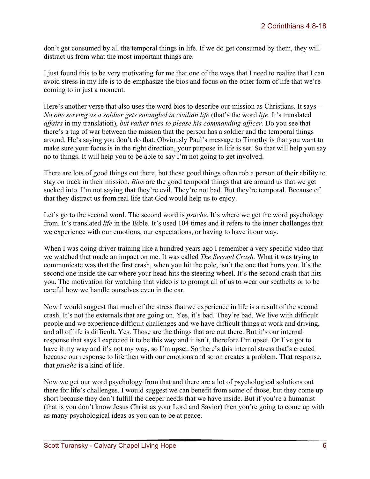don't get consumed by all the temporal things in life. If we do get consumed by them, they will distract us from what the most important things are.

I just found this to be very motivating for me that one of the ways that I need to realize that I can avoid stress in my life is to de-emphasize the bios and focus on the other form of life that we're coming to in just a moment.

Here's another verse that also uses the word bios to describe our mission as Christians. It says – *No one serving as a soldier gets entangled in civilian life (that's the word life. It's translated affairs* in my translation), *but rather tries to please his commanding officer.* Do you see that there's a tug of war between the mission that the person has a soldier and the temporal things around. He's saying you don't do that. Obviously Paul's message to Timothy is that you want to make sure your focus is in the right direction, your purpose in life is set. So that will help you say no to things. It will help you to be able to say I'm not going to get involved.

There are lots of good things out there, but those good things often rob a person of their ability to stay on track in their mission. *Bios* are the good temporal things that are around us that we get sucked into. I'm not saying that they're evil. They're not bad. But they're temporal. Because of that they distract us from real life that God would help us to enjoy.

Let's go to the second word. The second word is *psuche*. It's where we get the word psychology from. It's translated *life* in the Bible. It's used 104 times and it refers to the inner challenges that we experience with our emotions, our expectations, or having to have it our way.

When I was doing driver training like a hundred years ago I remember a very specific video that we watched that made an impact on me. It was called *The Second Crash.* What it was trying to communicate was that the first crash, when you hit the pole, isn't the one that hurts you. It's the second one inside the car where your head hits the steering wheel. It's the second crash that hits you. The motivation for watching that video is to prompt all of us to wear our seatbelts or to be careful how we handle ourselves even in the car.

Now I would suggest that much of the stress that we experience in life is a result of the second crash. It's not the externals that are going on. Yes, it's bad. They're bad. We live with difficult people and we experience difficult challenges and we have difficult things at work and driving, and all of life is difficult. Yes. Those are the things that are out there. But it's our internal response that says I expected it to be this way and it isn't, therefore I'm upset. Or I've got to have it my way and it's not my way, so I'm upset. So there's this internal stress that's created because our response to life then with our emotions and so on creates a problem. That response, that *psuche* is a kind of life.

Now we get our word psychology from that and there are a lot of psychological solutions out there for life's challenges. I would suggest we can benefit from some of those, but they come up short because they don't fulfill the deeper needs that we have inside. But if you're a humanist (that is you don't know Jesus Christ as your Lord and Savior) then you're going to come up with as many psychological ideas as you can to be at peace.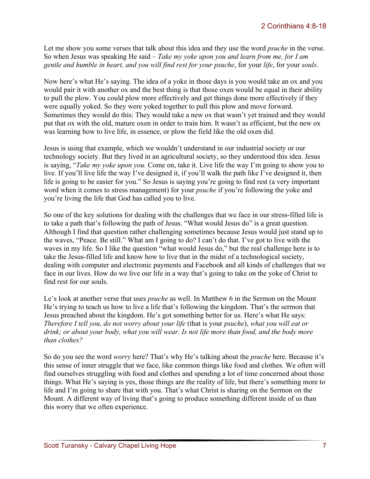Let me show you some verses that talk about this idea and they use the word *psuche* in the verse. So when Jesus was speaking He said – *Take my yoke upon you and learn from me, for I am gentle and humble in heart, and you will find rest for your psuche*, for your *life*, for your *souls*.

Now here's what He's saying. The idea of a yoke in those days is you would take an ox and you would pair it with another ox and the best thing is that those oxen would be equal in their ability to pull the plow. You could plow more effectively and get things done more effectively if they were equally yoked. So they were yoked together to pull this plow and move forward. Sometimes they would do this: They would take a new ox that wasn't yet trained and they would put that ox with the old, mature oxen in order to train him. It wasn't as efficient, but the new ox was learning how to live life, in essence, or plow the field like the old oxen did.

Jesus is using that example, which we wouldn't understand in our industrial society or our technology society. But they lived in an agricultural society, so they understood this idea. Jesus is saying, "*Take my yoke upon you.* Come on, take it. Live life the way I'm going to show you to live. If you'll live life the way I've designed it, if you'll walk the path like I've designed it, then life is going to be easier for you." So Jesus is saying you're going to find rest (a very important word when it comes to stress management) for your *psuche* if you're following the yoke and you're living the life that God has called you to live.

So one of the key solutions for dealing with the challenges that we face in our stress-filled life is to take a path that's following the path of Jesus. "What would Jesus do" is a great question. Although I find that question rather challenging sometimes because Jesus would just stand up to the waves, "Peace. Be still." What am I going to do? I can't do that. I've got to live with the waves in my life. So I like the question "what would Jesus do," but the real challenge here is to take the Jesus-filled life and know how to live that in the midst of a technological society, dealing with computer and electronic payments and Facebook and all kinds of challenges that we face in our lives. How do we live our life in a way that's going to take on the yoke of Christ to find rest for our souls.

Le's look at another verse that uses *psuche* as well. In Matthew 6 in the Sermon on the Mount He's trying to teach us how to live a life that's following the kingdom. That's the sermon that Jesus preached about the kingdom. He's got something better for us. Here's what He says: *Therefore I tell you, do not worry about your life* (that is your *psuche*), *what you will eat or drink; or about your body, what you will wear. Is not life more than food, and the body more than clothes?*

So do you see the word *worry* here? That's why He's talking about the *psuche* here. Because it's this sense of inner struggle that we face, like common things like food and clothes. We often will find ourselves struggling with food and clothes and spending a lot of time concerned about those things. What He's saying is yes, those things are the reality of life, but there's something more to life and I'm going to share that with you. That's what Christ is sharing on the Sermon on the Mount. A different way of living that's going to produce something different inside of us than this worry that we often experience.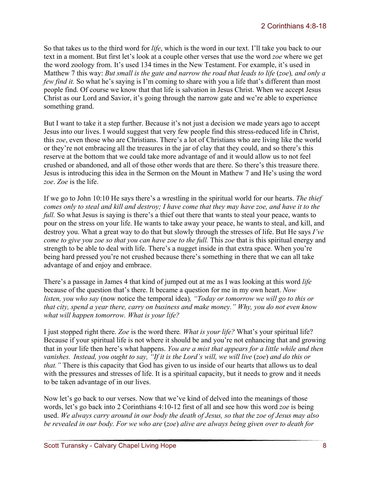So that takes us to the third word for *life*, which is the word in our text. I'll take you back to our text in a moment. But first let's look at a couple other verses that use the word *zoe* where we get the word zoology from. It's used 134 times in the New Testament. For example, it's used in Matthew 7 this way: *But small is the gate and narrow the road that leads to life (zoe), and only a few find it.* So what he's saying is I'm coming to share with you a life that's different than most people find. Of course we know that that life is salvation in Jesus Christ. When we accept Jesus Christ as our Lord and Savior, it's going through the narrow gate and we're able to experience something grand.

But I want to take it a step further. Because it's not just a decision we made years ago to accept Jesus into our lives. I would suggest that very few people find this stress-reduced life in Christ, this *zoe*, even those who are Christians. There's a lot of Christians who are living like the world or they're not embracing all the treasures in the jar of clay that they could, and so there's this reserve at the bottom that we could take more advantage of and it would allow us to not feel crushed or abandoned, and all of those other words that are there. So there's this treasure there. Jesus is introducing this idea in the Sermon on the Mount in Mathew 7 and He's using the word *zoe*. *Zoe* is the life.

If we go to John 10:10 He says there's a wrestling in the spiritual world for our hearts. *The thief comes only to steal and kill and destroy; I have come that they may have zoe, and have it to the full.* So what Jesus is saying is there's a thief out there that wants to steal your peace, wants to pour on the stress on your life. He wants to take away your peace, he wants to steal, and kill, and destroy you. What a great way to do that but slowly through the stresses of life. But He says *I've come to give you zoe so that you can have zoe to the full.* This *zoe* that is this spiritual energy and strength to be able to deal with life. There's a nugget inside in that extra space. When you're being hard pressed you're not crushed because there's something in there that we can all take advantage of and enjoy and embrace.

There's a passage in James 4 that kind of jumped out at me as I was looking at this word *life*  because of the question that's there. It became a question for me in my own heart. *Now listen, you who say* (now notice the temporal idea)*, "Today or tomorrow we will go to this or that city, spend a year there, carry on business and make money." Why, you do not even know what will happen tomorrow. What is your life?* 

I just stopped right there. *Zoe* is the word there*. What is your life?* What's your spiritual life? Because if your spiritual life is not where it should be and you're not enhancing that and growing that in your life then here's what happens. *You are a mist that appears for a little while and then vanishes. Instead, you ought to say, "If it is the Lord's will, we will live* (*zoe*) *and do this or that.*" There is this capacity that God has given to us inside of our hearts that allows us to deal with the pressures and stresses of life. It is a spiritual capacity, but it needs to grow and it needs to be taken advantage of in our lives.

Now let's go back to our verses. Now that we've kind of delved into the meanings of those words, let's go back into 2 Corinthians 4:10-12 first of all and see how this word *zoe* is being used. *We always carry around in our body the death of Jesus, so that the zoe of Jesus may also be revealed in our body. For we who are* (*zoe*) *alive are always being given over to death for*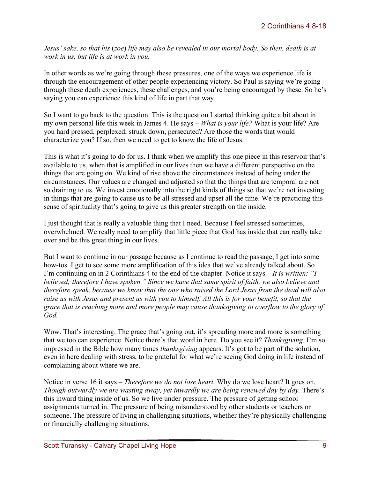*Jesus' sake, so that his* (*zoe*) *life may also be revealed in our mortal body. So then, death is at work in us, but life is at work in you.*

In other words as we're going through these pressures, one of the ways we experience life is through the encouragement of other people experiencing victory. So Paul is saying we're going through these death experiences, these challenges, and you're being encouraged by these. So he's saying you can experience this kind of life in part that way.

So I want to go back to the question. This is the question I started thinking quite a bit about in my own personal life this week in James 4. He says – *What is your life?* What is your life? Are you hard pressed, perplexed, struck down, persecuted? Are those the words that would characterize you? If so, then we need to get to know the life of Jesus.

This is what it's going to do for us. I think when we amplify this one piece in this reservoir that's available to us, when that is amplified in our lives then we have a different perspective on the things that are going on. We kind of rise above the circumstances instead of being under the circumstances. Our values are changed and adjusted so that the things that are temporal are not so draining to us. We invest emotionally into the right kinds of things so that we're not investing in things that are going to cause us to be all stressed and upset all the time. We're practicing this sense of spirituality that's going to give us this greater strength on the inside.

I just thought that is really a valuable thing that I need. Because I feel stressed sometimes, overwhelmed. We really need to amplify that little piece that God has inside that can really take over and be this great thing in our lives.

But I want to continue in our passage because as I continue to read the passage, I get into some how-tos. I get to see some more amplification of this idea that we've already talked about. So I'm continuing on in 2 Corinthians 4 to the end of the chapter. Notice it says – *It is written: "I believed; therefore I have spoken." Since we have that same spirit of faith, we also believe and therefore speak, because we know that the one who raised the Lord Jesus from the dead will also raise us with Jesus and present us with you to himself. All this is for your benefit, so that the grace that is reaching more and more people may cause thanksgiving to overflow to the glory of God.*

Wow. That's interesting. The grace that's going out, it's spreading more and more is something that we too can experience. Notice there's that word in here. Do you see it? *Thanksgiving*. I'm so impressed in the Bible how many times *thanksgiving* appears. It's got to be part of the solution, even in here dealing with stress, to be grateful for what we're seeing God doing in life instead of complaining about where we are.

Notice in verse 16 it says – *Therefore we do not lose heart.* Why do we lose heart? It goes on. *Though outwardly we are wasting away, yet inwardly we are being renewed day by day.* There's this inward thing inside of us. So we live under pressure. The pressure of getting school assignments turned in. The pressure of being misunderstood by other students or teachers or someone. The pressure of living in challenging situations, whether they're physically challenging or financially challenging situations.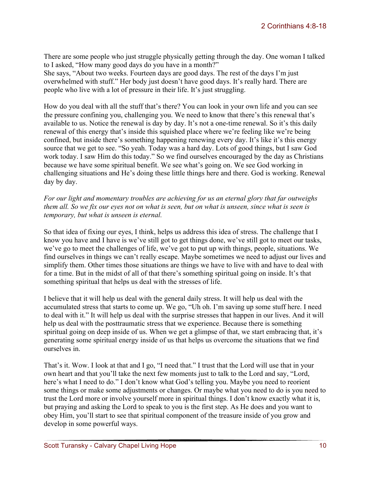There are some people who just struggle physically getting through the day. One woman I talked to I asked, "How many good days do you have in a month?"

She says, "About two weeks. Fourteen days are good days. The rest of the days I'm just overwhelmed with stuff." Her body just doesn't have good days. It's really hard. There are people who live with a lot of pressure in their life. It's just struggling.

How do you deal with all the stuff that's there? You can look in your own life and you can see the pressure confining you, challenging you. We need to know that there's this renewal that's available to us. Notice the renewal is day by day. It's not a one-time renewal. So it's this daily renewal of this energy that's inside this squished place where we're feeling like we're being confined, but inside there's something happening renewing every day. It's like it's this energy source that we get to see. "So yeah. Today was a hard day. Lots of good things, but I saw God work today. I saw Him do this today." So we find ourselves encouraged by the day as Christians because we have some spiritual benefit. We see what's going on. We see God working in challenging situations and He's doing these little things here and there. God is working. Renewal day by day.

*For our light and momentary troubles are achieving for us an eternal glory that far outweighs them all. So we fix our eyes not on what is seen, but on what is unseen, since what is seen is temporary, but what is unseen is eternal.*

So that idea of fixing our eyes, I think, helps us address this idea of stress. The challenge that I know you have and I have is we've still got to get things done, we've still got to meet our tasks, we've go to meet the challenges of life, we've got to put up with things, people, situations. We find ourselves in things we can't really escape. Maybe sometimes we need to adjust our lives and simplify them. Other times those situations are things we have to live with and have to deal with for a time. But in the midst of all of that there's something spiritual going on inside. It's that something spiritual that helps us deal with the stresses of life.

I believe that it will help us deal with the general daily stress. It will help us deal with the accumulated stress that starts to come up. We go, "Uh oh. I'm saving up some stuff here. I need to deal with it." It will help us deal with the surprise stresses that happen in our lives. And it will help us deal with the posttraumatic stress that we experience. Because there is something spiritual going on deep inside of us. When we get a glimpse of that, we start embracing that, it's generating some spiritual energy inside of us that helps us overcome the situations that we find ourselves in.

That's it. Wow. I look at that and I go, "I need that." I trust that the Lord will use that in your own heart and that you'll take the next few moments just to talk to the Lord and say, "Lord, here's what I need to do." I don't know what God's telling you. Maybe you need to reorient some things or make some adjustments or changes. Or maybe what you need to do is you need to trust the Lord more or involve yourself more in spiritual things. I don't know exactly what it is, but praying and asking the Lord to speak to you is the first step. As He does and you want to obey Him, you'll start to see that spiritual component of the treasure inside of you grow and develop in some powerful ways.